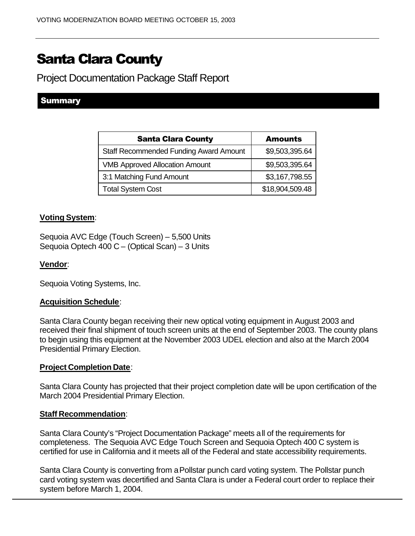# Santa Clara County

Project Documentation Package Staff Report

## Summary

| <b>Santa Clara County</b>                     | <b>Amounts</b>  |
|-----------------------------------------------|-----------------|
| <b>Staff Recommended Funding Award Amount</b> | \$9,503,395.64  |
| <b>VMB Approved Allocation Amount</b>         | \$9,503,395.64  |
| 3:1 Matching Fund Amount                      | \$3,167,798.55  |
| <b>Total System Cost</b>                      | \$18,904,509.48 |

### **Voting System**:

Sequoia AVC Edge (Touch Screen) – 5,500 Units Sequoia Optech 400 C – (Optical Scan) – 3 Units

#### **Vendor**:

Sequoia Voting Systems, Inc.

#### **Acquisition Schedule**:

Santa Clara County began receiving their new optical voting equipment in August 2003 and received their final shipment of touch screen units at the end of September 2003. The county plans to begin using this equipment at the November 2003 UDEL election and also at the March 2004 Presidential Primary Election.

#### **Project Completion Date**:

Santa Clara County has projected that their project completion date will be upon certification of the March 2004 Presidential Primary Election.

#### **Staff Recommendation**:

Santa Clara County's "Project Documentation Package" meets all of the requirements for completeness. The Sequoia AVC Edge Touch Screen and Sequoia Optech 400 C system is certified for use in California and it meets all of the Federal and state accessibility requirements.

Santa Clara County is converting from a Pollstar punch card voting system. The Pollstar punch card voting system was decertified and Santa Clara is under a Federal court order to replace their system before March 1, 2004.